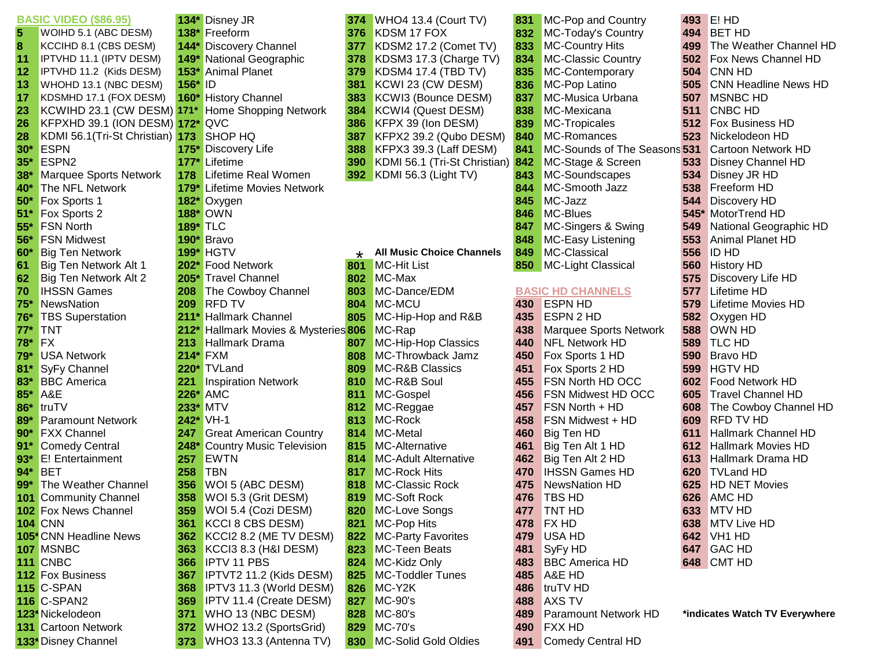|       | <b>BASIC VIDEO (\$86.95)</b>    |                 | 134* Disney JR                  | 374     | WHO4 13.4 (Court TV)             | 831 | <b>MC-Pop and Country</b>     | 493 | E! HD                          |
|-------|---------------------------------|-----------------|---------------------------------|---------|----------------------------------|-----|-------------------------------|-----|--------------------------------|
| 5     | WOIHD 5.1 (ABC DESM)            |                 | 138* Freeform                   | 376     | KDSM 17 FOX                      | 832 | MC-Today's Country            | 494 | <b>BET HD</b>                  |
| 8     | KCCIHD 8.1 (CBS DESM)           |                 | 144* Discovery Channel          | 377     | KDSM2 17.2 (Comet TV)            | 833 | MC-Country Hits               | 499 | The Weather Channel HD         |
| 11    | IPTVHD 11.1 (IPTV DESM)         |                 | 149* National Geographic        | 378     | KDSM3 17.3 (Charge TV)           | 834 | <b>MC-Classic Country</b>     | 502 | Fox News Channel HD            |
| 12    | IPTVHD 11.2 (Kids DESM)         | $153*$          | <b>Animal Planet</b>            | 379     | KDSM4 17.4 (TBD TV)              | 835 | MC-Contemporary               | 504 | <b>CNN HD</b>                  |
| 13    | WHOHD 13.1 (NBC DESM)           | 156*            | $\blacksquare$                  | 381     | KCWI 23 (CW DESM)                | 836 | <b>MC-Pop Latino</b>          | 505 | <b>CNN Headline News HD</b>    |
| 17    | KDSMHD 17.1 (FOX DESM)          |                 | 160* History Channel            | 383     | KCWI3 (Bounce DESM)              | 837 | MC-Musica Urbana              | 507 | <b>MSNBC HD</b>                |
| 23    | KCWIHD 23.1 (CW DESM) 171*      |                 | <b>Home Shopping Network</b>    | 384     | KCWI4 (Quest DESM)               | 838 | MC-Mexicana                   | 511 | <b>CNBC HD</b>                 |
| 26    | KFPXHD 39.1 (ION DESM) 172* QVC |                 |                                 | 386     | KFPX 39 (Ion DESM)               | 839 | MC-Tropicales                 | 512 | <b>Fox Business HD</b>         |
| 28    | KDMI 56.1(Tri-St Christian) 173 |                 | <b>SHOP HQ</b>                  | 387     | KFPX2 39.2 (Qubo DESM)           | 840 | MC-Romances                   | 523 | Nickelodeon HD                 |
| $30*$ | <b>ESPN</b>                     |                 | 175* Discovery Life             | 388     | KFPX3 39.3 (Laff DESM)           | 841 | MC-Sounds of The Seasons 531  |     | <b>Cartoon Network HD</b>      |
| $35*$ | ESPN <sub>2</sub>               | $177*$          | Lifetime                        | 390     | KDMI 56.1 (Tri-St Christian)     | 842 | MC-Stage & Screen             | 533 | <b>Disney Channel HD</b>       |
| $38*$ | <b>Marquee Sports Network</b>   | 178             | <b>Lifetime Real Women</b>      | 392     | KDMI 56.3 (Light TV)             | 843 | MC-Soundscapes                | 534 | <b>Disney JR HD</b>            |
| $40*$ | The NFL Network                 |                 | 179* Lifetime Movies Network    |         |                                  | 844 | MC-Smooth Jazz                | 538 | Freeform HD                    |
| $50*$ | Fox Sports 1                    |                 | 182* Oxygen                     |         |                                  | 845 | MC-Jazz                       | 544 | <b>Discovery HD</b>            |
| 51    | Fox Sports 2                    |                 | 188* OWN                        |         |                                  | 846 | MC-Blues                      |     | 545* MotorTrend HD             |
| $55*$ | <b>FSN North</b>                | <b>189* TLC</b> |                                 |         |                                  | 847 | MC-Singers & Swing            | 549 | National Geographic HD         |
| $56*$ | <b>FSN Midwest</b>              |                 | 190* Bravo                      |         |                                  | 848 | MC-Easy Listening             | 553 | Animal Planet HD               |
| $60*$ | <b>Big Ten Network</b>          |                 | <b>199* HGTV</b>                | $\star$ | <b>All Music Choice Channels</b> | 849 | MC-Classical                  | 556 | <b>ID HD</b>                   |
| 61    | Big Ten Network Alt 1           | $202*$          | <b>Food Network</b>             | 801     | <b>MC-Hit List</b>               | 850 | MC-Light Classical            | 560 | <b>History HD</b>              |
| 62    | Big Ten Network Alt 2           | 205*            | <b>Travel Channel</b>           | 802     | MC-Max                           |     |                               | 575 | <b>Discovery Life HD</b>       |
| 70    | <b>IHSSN Games</b>              | 208             | The Cowboy Channel              | 803     | MC-Dance/EDM                     |     | <b>BASIC HD CHANNELS</b>      | 577 | Lifetime HD                    |
| 75'   | NewsNation                      | 209             | <b>RFD TV</b>                   | 804     | MC-MCU                           | 430 | <b>ESPN HD</b>                | 579 | <b>Lifetime Movies HD</b>      |
| 76'   | <b>TBS Superstation</b>         | 211             | <b>Hallmark Channel</b>         | 805     | MC-Hip-Hop and R&B               | 435 | <b>ESPN 2 HD</b>              | 582 | Oxygen HD                      |
| $77*$ | <b>TNT</b>                      | $212*$          | Hallmark Movies & Mysteries 806 |         | MC-Rap                           | 438 | <b>Marquee Sports Network</b> | 588 | <b>OWN HD</b>                  |
| 78*   | <b>FX</b>                       | 213             | <b>Hallmark Drama</b>           | 807     | MC-Hip-Hop Classics              | 440 | <b>NFL Network HD</b>         | 589 | <b>TLC HD</b>                  |
| $79*$ | <b>USA Network</b>              |                 | <b>214* FXM</b>                 | 808     | MC-Throwback Jamz                | 450 | Fox Sports 1 HD               | 590 | <b>Bravo HD</b>                |
| $81*$ | SyFy Channel                    |                 | 220* TVLand                     | 809     | <b>MC-R&amp;B Classics</b>       | 451 | Fox Sports 2 HD               | 599 | <b>HGTV HD</b>                 |
| $83*$ | <b>BBC</b> America              | 221             | <b>Inspiration Network</b>      | 810     | MC-R&B Soul                      | 455 | <b>FSN North HD OCC</b>       | 602 | <b>Food Network HD</b>         |
| 85*   | A&E                             | 226*            | <b>AMC</b>                      | 811     | MC-Gospel                        | 456 | <b>FSN Midwest HD OCC</b>     | 605 | <b>Travel Channel HD</b>       |
| 86*   | truTV                           |                 | 233* MTV                        | 812     | MC-Reggae                        | 457 | <b>FSN North + HD</b>         | 608 | The Cowboy Channel HD          |
| $89*$ | <b>Paramount Network</b>        |                 | 242* VH-1                       | 813     | MC-Rock                          | 458 | FSN Midwest + HD              | 609 | <b>RFD TV HD</b>               |
| $90*$ | <b>FXX Channel</b>              | 247             | <b>Great American Country</b>   | 814     | MC-Metal                         | 460 | Big Ten HD                    | 611 | <b>Hallmark Channel HD</b>     |
| 91    | <b>Comedy Central</b>           | 248*            | Country Music Television        | 815     | MC-Alternative                   | 461 | Big Ten Alt 1 HD              | 612 | <b>Hallmark Movies HD</b>      |
| $93*$ | E! Entertainment                | 257             | <b>EWTN</b>                     | 814     | <b>MC-Adult Alternative</b>      | 462 | Big Ten Alt 2 HD              | 613 | <b>Hallmark Drama HD</b>       |
| $94*$ | <b>BET</b>                      | 258             | <b>TBN</b>                      | 817     | <b>MC-Rock Hits</b>              | 470 | <b>IHSSN Games HD</b>         | 620 | <b>TVLand HD</b>               |
| $99*$ | The Weather Channel             | 356             | WOI 5 (ABC DESM)                | 818     | MC-Classic Rock                  | 475 | <b>NewsNation HD</b>          | 625 | <b>HD NET Movies</b>           |
|       | <b>101</b> Community Channel    | 358             | WOI 5.3 (Grit DESM)             | 819     | MC-Soft Rock                     | 476 | <b>TBS HD</b>                 | 626 | <b>AMC HD</b>                  |
|       | <b>102</b> Fox News Channel     | 359             | WOI 5.4 (Cozi DESM)             | 820     | MC-Love Songs                    |     | 477 TNT HD                    |     | <b>633 MTV HD</b>              |
|       | <b>104 CNN</b>                  | 361             | KCCI 8 CBS DESM)                | 821     | <b>MC-Pop Hits</b>               | 478 | <b>FX HD</b>                  |     | 638 MTV Live HD                |
|       | <b>105* CNN Headline News</b>   | 362             | KCCI2 8.2 (ME TV DESM)          | 822     | <b>MC-Party Favorites</b>        | 479 | USA HD                        |     | 642 VH1 HD                     |
|       | 107 MSNBC                       | 363             | KCCI3 8.3 (H&I DESM)            | 823     | <b>MC-Teen Beats</b>             | 481 | SyFy HD                       |     | 647 GAC HD                     |
|       | <b>111 CNBC</b>                 | 366             | <b>IPTV 11 PBS</b>              | 824     | MC-Kidz Only                     | 483 | <b>BBC America HD</b>         |     | 648 CMT HD                     |
|       | <b>112 Fox Business</b>         | 367             | <b>IPTVT2 11.2 (Kids DESM)</b>  | 825     | <b>MC-Toddler Tunes</b>          | 485 | A&E HD                        |     |                                |
|       | <b>115 C-SPAN</b>               | 368             | <b>IPTV3 11.3 (World DESM)</b>  | 826     | MC-Y <sub>2</sub> K              | 486 | truTV HD                      |     |                                |
|       | <b>116 C-SPAN2</b>              | 369             | <b>IPTV 11.4 (Create DESM)</b>  | 827     | MC-90's                          | 488 | <b>AXS TV</b>                 |     |                                |
|       | 123* Nickelodeon                | 371             | WHO 13 (NBC DESM)               | 828     | MC-80's                          | 489 | <b>Paramount Network HD</b>   |     | *indicates Watch TV Everywhere |
|       | <b>131</b> Cartoon Network      | 372             | WHO2 13.2 (SportsGrid)          | 829     | <b>MC-70's</b>                   | 490 | <b>FXX HD</b>                 |     |                                |
|       | 133* Disney Channel             | 373             | WHO3 13.3 (Antenna TV)          |         | 830 MC-Solid Gold Oldies         | 491 | Comedy Central HD             |     |                                |
|       |                                 |                 |                                 |         |                                  |     |                               |     |                                |